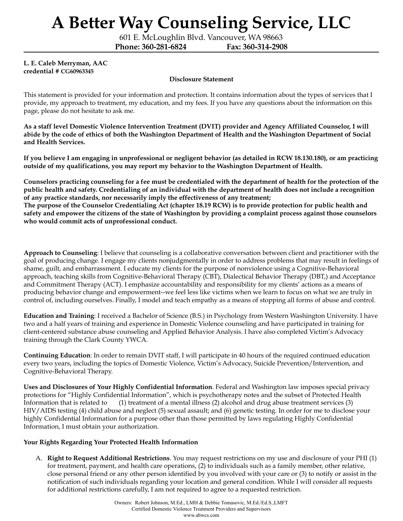601 E. McLoughlin Blvd. Vancouver, WA 98663

**Phone: 360-281-6824 Fax: 360-314-2908**

#### **L. E. Caleb Merryman, AAC credential # CG60963345**

#### **Disclosure Statement**

This statement is provided for your information and protection. It contains information about the types of services that I provide, my approach to treatment, my education, and my fees. If you have any questions about the information on this page, please do not hesitate to ask me.

As a staff level Domestic Violence Intervention Treatment (DVIT) provider and Agency Affiliated Counselor, I will abide by the code of ethics of both the Washington Department of Health and the Washington Department of Social **and Health Services.**

If you believe I am engaging in unprofessional or negligent behavior (as detailed in RCW [18.130.180](http://app.leg.wa.gov/RCW/default.aspx?cite=18.130.180)), or am practicing **outside of my qualifications, you may report my behavior to the Washington Department of Health.**

Counselors practicing counseling for a fee must be credentialed with the department of health for the protection of the public health and safety. Credentialing of an individual with the department of health does not include a recognition **of any practice standards, nor necessarily imply the effectiveness of any treatment;** The purpose of the Counselor Credentialing Act (chapter [18.19](http://app.leg.wa.gov/RCW/default.aspx?cite=18.19) RCW) is to provide protection for public health and safety and empower the citizens of the state of Washington by providing a complaint process against those counselors **who would commit acts of unprofessional conduct.**

**Approach to Counseling**: I believe that counseling is a collaborative conversation between client and practitioner with the goal of producing change. I engage my clients nonjudgmentally in order to address problems that may result in feelings of shame, guilt, and embarrassment. I educate my clients for the purpose of nonviolence using a Cognitive-Behavioral approach, teaching skills from Cognitive-Behavioral Therapy (CBT), Dialectical Behavior Therapy (DBT,) and Acceptance and Commitment Therapy (ACT). I emphasize accountability and responsibility for my clients' actions as a means of producing behavior change and empowerment--we feel less like victims when we learn to focus on what we are truly in control of, including ourselves. Finally, I model and teach empathy as a means of stopping all forms of abuse and control.

**Education and Training**: I received a Bachelor of Science (B.S.) in Psychology from Western Washington University. I have two and a half years of training and experience in Domestic Violence counseling and have participated in training for client-centered substance abuse counseling and Applied Behavior Analysis. I have also completed Victim's Advocacy training through the Clark County YWCA.

**Continuing Education**: In order to remain DVIT staff, I will participate in 40 hours of the required continued education every two years, including the topics of Domestic Violence, Victim's Advocacy, Suicide Prevention/Intervention, and Cognitive-Behavioral Therapy.

**Uses and Disclosures of Your Highly Confidential Information**. Federal and Washington law imposes special privacy protections for "Highly Confidential Information", which is psychotherapy notes and the subset of Protected Health Information that is related to (1) treatment of a mental illness (2) alcohol and drug abuse treatment services (3) HIV/AIDS testing (4) child abuse and neglect (5) sexual assault; and (6) genetic testing. In order for me to disclose your highly Confidential Information for a purpose other than those permitted by laws regulating Highly Confidential Information, I must obtain your authorization.

#### **Your Rights Regarding Your Protected Health Information**

A. **Right to Request Additional Restrictions**. You may request restrictions on my use and disclosure of your PHI (1) for treatment, payment, and health care operations, (2) to individuals such as a family member, other relative, close personal friend or any other person identified by you involved with your care or (3) to notify or assist in the notification of such individuals regarding your location and general condition. While I will consider all requests for additional restrictions carefully, I am not required to agree to a requested restriction.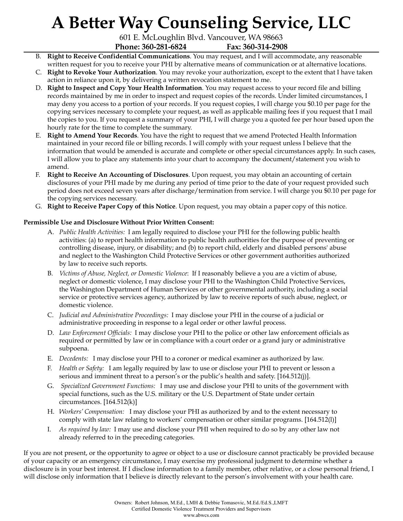601 E. McLoughlin Blvd. Vancouver, WA 98663 **Phone: 360-281-6824 Fax: 360-314-2908**

- B. **Right to Receive Confidential Communications**. You may request, and I will accommodate, any reasonable written request for you to receive your PHI by alternative means of communication or at alternative locations.
- C. **Right to Revoke Your Authorization**. You may revoke your authorization, except to the extent that I have taken action in reliance upon it, by delivering a written revocation statement to me.
- D. **Right to Inspect and Copy Your Health Information**. You may request access to your record file and billing records maintained by me in order to inspect and request copies of the records. Under limited circumstances, I may deny you access to a portion of your records. If you request copies, I will charge you \$0.10 per page for the copying services necessary to complete your request, as well as applicable mailing fees if you request that I mail the copies to you. If you request a summary of your PHI, I will charge you a quoted fee per hour based upon the hourly rate for the time to complete the summary.
- E. **Right to Amend Your Records**. You have the right to request that we amend Protected Health Information maintained in your record file or billing records. I will comply with your request unless I believe that the information that would be amended is accurate and complete or other special circumstances apply. In such cases, I will allow you to place any statements into your chart to accompany the document/statement you wish to amend.
- F. **Right to Receive An Accounting of Disclosures**. Upon request, you may obtain an accounting of certain disclosures of your PHI made by me during any period of time prior to the date of your request provided such period does not exceed seven years after discharge/termination from service. I will charge you \$0.10 per page for the copying services necessary.
- G. **Right to Receive Paper Copy of this Notice**. Upon request, you may obtain a paper copy of this notice.

### **Permissible Use and Disclosure Without Prior Written Consent:**

- A. *Public Health Activities:* I am legally required to disclose your PHI for the following public health activities: (a) to report health information to public health authorities for the purpose of preventing or controlling disease, injury, or disability; and (b) to report child, elderly and disabled persons' abuse and neglect to the Washington Child Protective Services or other government authorities authorized by law to receive such reports.
- B. *Victims of Abuse, Neglect, or Domestic Violence*: If I reasonably believe a you are a victim of abuse, neglect or domestic violence, I may disclose your PHI to the Washington Child Protective Services, the Washington Department of Human Services or other governmental authority, including a social service or protective services agency, authorized by law to receive reports of such abuse, neglect, or domestic violence.
- C. *Judicial and Administrative Proceedings:* I may disclose your PHI in the course of a judicial or administrative proceeding in response to a legal order or other lawful process.
- D. *Law Enforcement Of icials:* I may disclose your PHI to the police or other law enforcement officials as required or permitted by law or in compliance with a court order or a grand jury or administrative subpoena.
- E. *Decedents:* I may disclose your PHI to a coroner or medical examiner as authorized by law.
- F. *Health or Safety:* I am legally required by law to use or disclose your PHI to prevent or lesson a serious and imminent threat to a person's or the public's health and safety. [164.512(j)].
- G. *Specialized Government Functions:* I may use and disclose your PHI to units of the government with special functions, such as the U.S. military or the U.S. Department of State under certain circumstances.  $[164.512(k)]$
- H. *Workers' Compensation:* I may disclose your PHI as authorized by and to the extent necessary to comply with state law relating to workers' compensation or other similar programs. [164.512(l)]
- I. *As required by law:* I may use and disclose your PHI when required to do so by any other law not already referred to in the preceding categories.

If you are not present, or the opportunity to agree or object to a use or disclosure cannot practicably be provided because of your capacity or an emergency circumstance, I may exercise my professional judgment to determine whether a disclosure is in your best interest. If I disclose information to a family member, other relative, or a close personal friend, I will disclose only information that I believe is directly relevant to the person's involvement with your health care.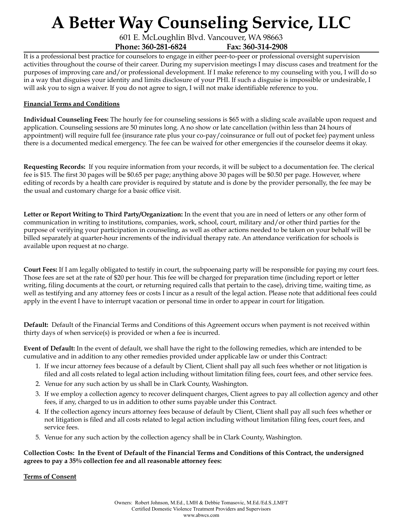601 E. McLoughlin Blvd. Vancouver, WA 98663 **Phone: 360-281-6824 Fax: 360-314-2908**

It is a professional best practice for counselors to engage in either peer-to-peer or professional oversight supervision activities throughout the course of their career. During my supervision meetings I may discuss cases and treatment for the purposes of improving care and/or professional development. If I make reference to my counseling with you, I will do so in a way that disguises your identity and limits disclosure of your PHI. If such a disguise is impossible or undesirable, I will ask you to sign a waiver. If you do not agree to sign, I will not make identifiable reference to you.

#### **Financial Terms and Conditions**

**Individual Counseling Fees:** The hourly fee for counseling sessions is \$65 with a sliding scale available upon request and application. Counseling sessions are 50 minutes long. A no show or late cancellation (within less than 24 hours of appointment) will require full fee (insurance rate plus your co-pay/coinsurance or full out of pocket fee) payment unless there is a documented medical emergency. The fee can be waived for other emergencies if the counselor deems it okay.

**Requesting Records:** If you require information from your records, it will be subject to a documentation fee. The clerical fee is \$15. The first 30 pages will be \$0.65 per page; anything above 30 pages will be \$0.50 per page. However, where editing of records by a health care provider is required by statute and is done by the provider personally, the fee may be the usual and customary charge for a basic office visit.

**Letter or Report Writing to Third Party/Organization:** In the event that you are in need of letters or any other form of communication in writing to institutions, companies, work, school, court, military and/or other third parties for the purpose of verifying your participation in counseling, as well as other actions needed to be taken on your behalf will be billed separately at quarter-hour increments of the individual therapy rate. An attendance verification for schools is available upon request at no charge.

**Court Fees:** If I am legally obligated to testify in court, the subpoenaing party will be responsible for paying my court fees. Those fees are set at the rate of \$20 per hour. This fee will be charged for preparation time (including report or letter writing, filing documents at the court, or returning required calls that pertain to the case), driving time, waiting time, as well as testifying and any attorney fees or costs I incur as a result of the legal action. Please note that additional fees could apply in the event I have to interrupt vacation or personal time in order to appear in court for litigation.

**Default:** Default of the Financial Terms and Conditions of this Agreement occurs when payment is not received within thirty days of when service(s) is provided or when a fee is incurred.

**Event of Default:** In the event of default, we shall have the right to the following remedies, which are intended to be cumulative and in addition to any other remedies provided under applicable law or under this Contract:

- 1. If we incur attorney fees because of a default by Client, Client shall pay all such fees whether or not litigation is filed and all costs related to legal action including without limitation filing fees, court fees, and other service fees.
- 2. Venue for any such action by us shall be in Clark County, Washington.
- 3. If we employ a collection agency to recover delinquent charges, Client agrees to pay all collection agency and other fees, if any, charged to us in addition to other sums payable under this Contract.
- 4. If the collection agency incurs attorney fees because of default by Client, Client shall pay all such fees whether or not litigation is filed and all costs related to legal action including without limitation filing fees, court fees, and service fees.
- 5. Venue for any such action by the collection agency shall be in Clark County, Washington.

#### Collection Costs: In the Event of Default of the Financial Terms and Conditions of this Contract, the undersigned **agrees to pay a 35% collection fee and all reasonable attorney fees:**

#### **Terms of Consent**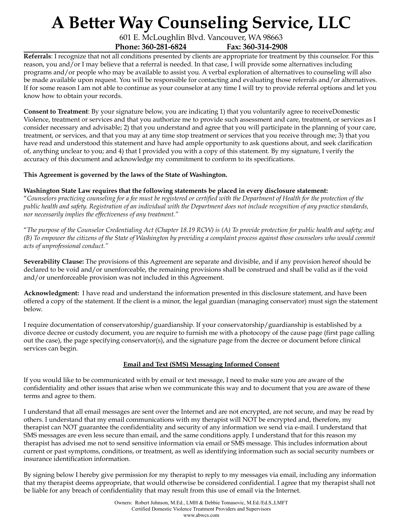601 E. McLoughlin Blvd. Vancouver, WA 98663 **Phone: 360-281-6824 Fax: 360-314-2908**

**Referrals**: I recognize that not all conditions presented by clients are appropriate for treatment by this counselor. For this reason, you and/or I may believe that a referral is needed. In that case, I will provide some alternatives including programs and/or people who may be available to assist you. A verbal exploration of alternatives to counseling will also be made available upon request. You will be responsible for contacting and evaluating those referrals and/or alternatives. If for some reason I am not able to continue as your counselor at any time I will try to provide referral options and let you know how to obtain your records.

**Consent to Treatment**: By your signature below, you are indicating 1) that you voluntarily agree to receiveDomestic Violence, treatment or services and that you authorize me to provide such assessment and care, treatment, or services as I consider necessary and advisable; 2) that you understand and agree that you will participate in the planning of your care, treatment, or services, and that you may at any time stop treatment or services that you receive through me; 3) that you have read and understood this statement and have had ample opportunity to ask questions about, and seek clarification of, anything unclear to you; and 4) that I provided you with a copy of this statement. By my signature, I verify the accuracy of this document and acknowledge my commitment to conform to its specifications.

**This Agreement is governed by the laws of the State of Washington.**

#### **Washington State Law requires that the following statements be placed in every disclosure statement:**

"Counselors practicing counseling for a fee must be registered or certified with the Department of Health for the protection of the public health and safety. Registration of an individual with the Department does not include recognition of any practice standards, *nor necessarily implies the ef ectiveness of any treatment."*

"The purpose of the Counselor Credentialing Act (Chapter 18.19 RCW) is (A) To provide protection for public health and safety; and (B) To empower the citizens of the State of Washington by providing a complaint process against those counselors who would commit *acts of unprofessional conduct."*

**Severability Clause:** The provisions of this Agreement are separate and divisible, and if any provision hereof should be declared to be void and/or unenforceable, the remaining provisions shall be construed and shall be valid as if the void and/or unenforceable provision was not included in this Agreement.

**Acknowledgment:** I have read and understand the information presented in this disclosure statement, and have been offered a copy of the statement. If the client is a minor, the legal guardian (managing conservator) must sign the statement below.

I require documentation of conservatorship/guardianship. If your conservatorship/guardianship is established by a divorce decree or custody document, you are require to furnish me with a photocopy of the cause page (first page calling out the case), the page specifying conservator(s), and the signature page from the decree or document before clinical services can begin.

### **Email and Text (SMS) Messaging Informed Consent**

If you would like to be communicated with by email or text message, I need to make sure you are aware of the confidentiality and other issues that arise when we communicate this way and to document that you are aware of these terms and agree to them.

I understand that all email messages are sent over the Internet and are not encrypted, are not secure, and may be read by others. I understand that my email communications with my therapist will NOT be encrypted and, therefore, my therapist can NOT guarantee the confidentiality and security of any information we send via e-mail. I understand that SMS messages are even less secure than email, and the same conditions apply. I understand that for this reason my therapist has advised me not to send sensitive information via email or SMS message. This includes information about current or past symptoms, conditions, or treatment, as well as identifying information such as social security numbers or insurance identification information.

By signing below I hereby give permission for my therapist to reply to my messages via email, including any information that my therapist deems appropriate, that would otherwise be considered confidential. I agree that my therapist shall not be liable for any breach of confidentiality that may result from this use of email via the Internet.